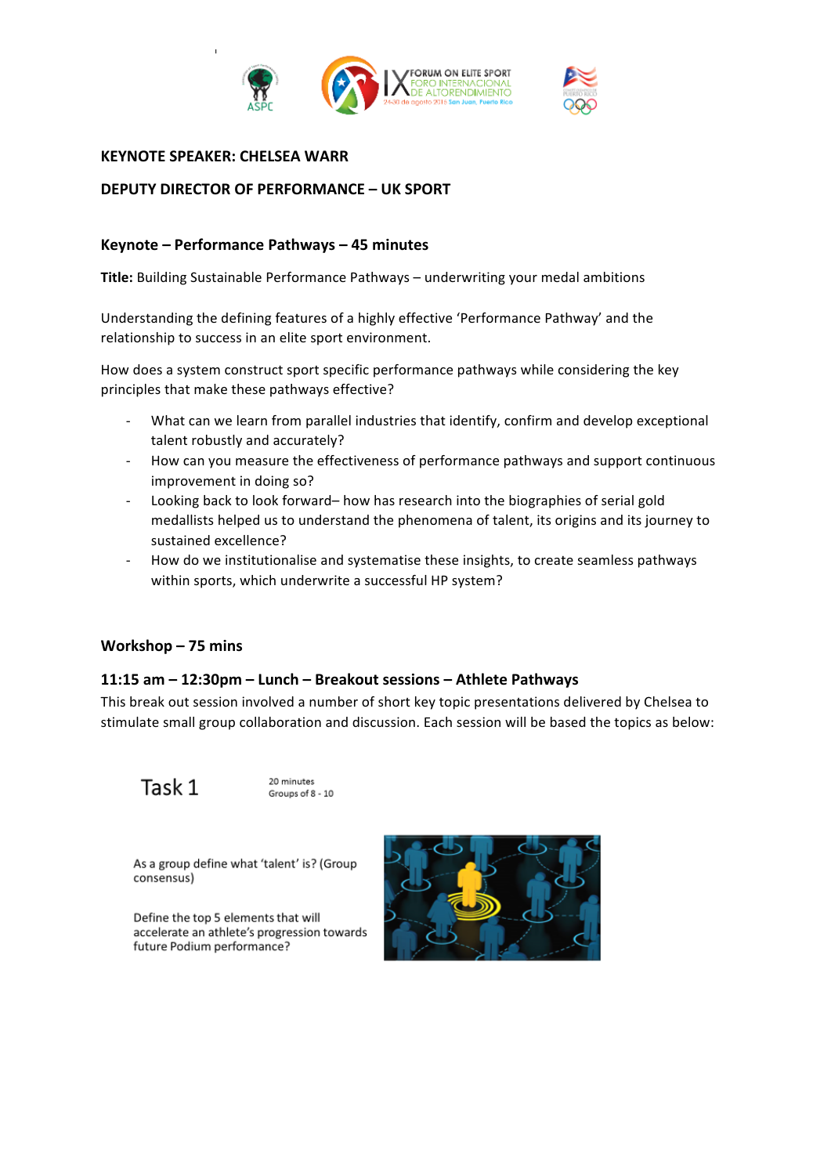



### **KEYNOTE SPEAKER: CHELSEA WARR**

# **DEPUTY DIRECTOR OF PERFORMANCE – UK SPORT**

## **Keynote – Performance Pathways – 45 minutes**

**Title:** Building Sustainable Performance Pathways – underwriting your medal ambitions

Understanding the defining features of a highly effective 'Performance Pathway' and the relationship to success in an elite sport environment.

How does a system construct sport specific performance pathways while considering the key principles that make these pathways effective?

- What can we learn from parallel industries that identify, confirm and develop exceptional talent robustly and accurately?
- How can you measure the effectiveness of performance pathways and support continuous improvement in doing so?
- Looking back to look forward– how has research into the biographies of serial gold medallists helped us to understand the phenomena of talent, its origins and its journey to sustained excellence?
- How do we institutionalise and systematise these insights, to create seamless pathways within sports, which underwrite a successful HP system?

#### **Workshop – 75 mins**

#### **11:15 am – 12:30pm – Lunch – Breakout sessions – Athlete Pathways**

This break out session involved a number of short key topic presentations delivered by Chelsea to stimulate small group collaboration and discussion. Each session will be based the topics as below:

Task 1

20 minutes Groups of 8 - 10

As a group define what 'talent' is? (Group consensus)

Define the top 5 elements that will accelerate an athlete's progression towards future Podium performance?

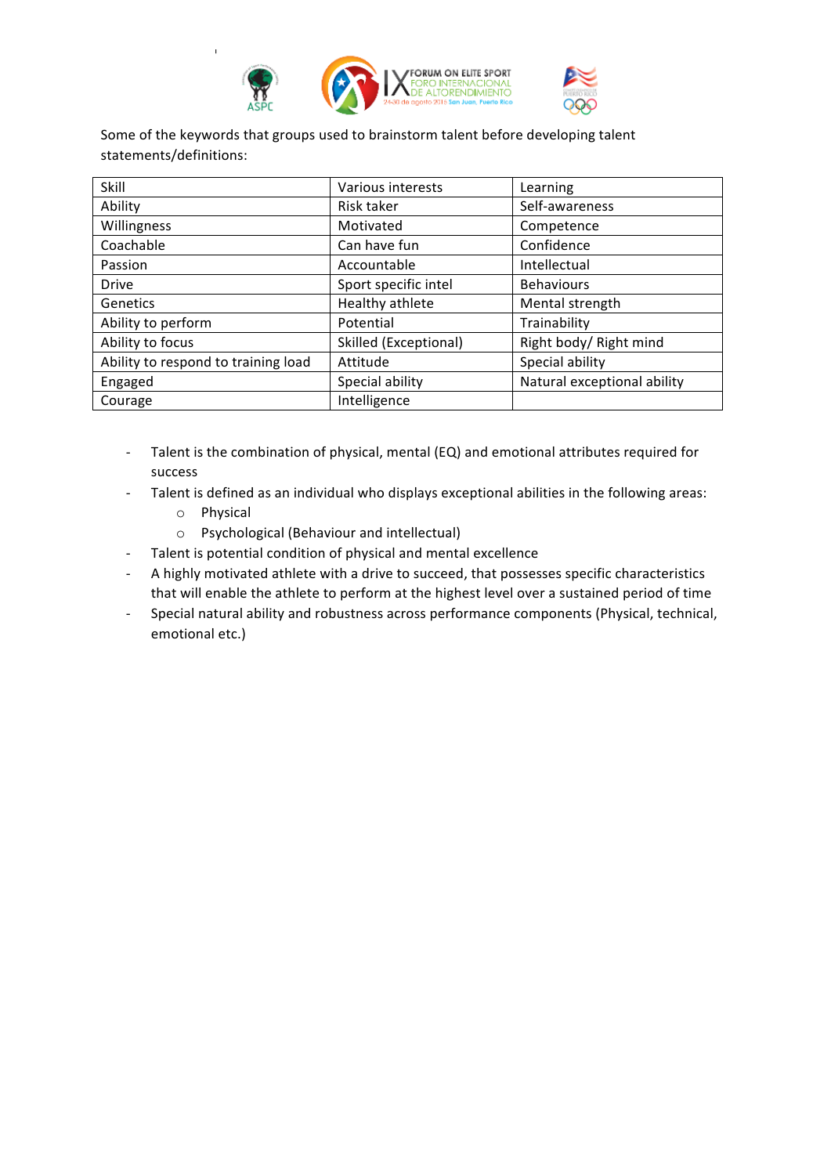

Some of the keywords that groups used to brainstorm talent before developing talent statements/definitions:

| Skill                               | Various interests     | Learning                    |
|-------------------------------------|-----------------------|-----------------------------|
| Ability                             | Risk taker            | Self-awareness              |
| Willingness                         | Motivated             | Competence                  |
| Coachable                           | Can have fun          | Confidence                  |
| Passion                             | Accountable           | Intellectual                |
| <b>Drive</b>                        | Sport specific intel  | <b>Behaviours</b>           |
| <b>Genetics</b>                     | Healthy athlete       | Mental strength             |
| Ability to perform                  | Potential             | Trainability                |
| Ability to focus                    | Skilled (Exceptional) | Right body/ Right mind      |
| Ability to respond to training load | Attitude              | Special ability             |
| Engaged                             | Special ability       | Natural exceptional ability |
| Courage                             | Intelligence          |                             |

- Talent is the combination of physical, mental (EQ) and emotional attributes required for success
- Talent is defined as an individual who displays exceptional abilities in the following areas:
	- o Physical
	- o Psychological (Behaviour and intellectual)
- Talent is potential condition of physical and mental excellence
- A highly motivated athlete with a drive to succeed, that possesses specific characteristics that will enable the athlete to perform at the highest level over a sustained period of time
- Special natural ability and robustness across performance components (Physical, technical, emotional etc.)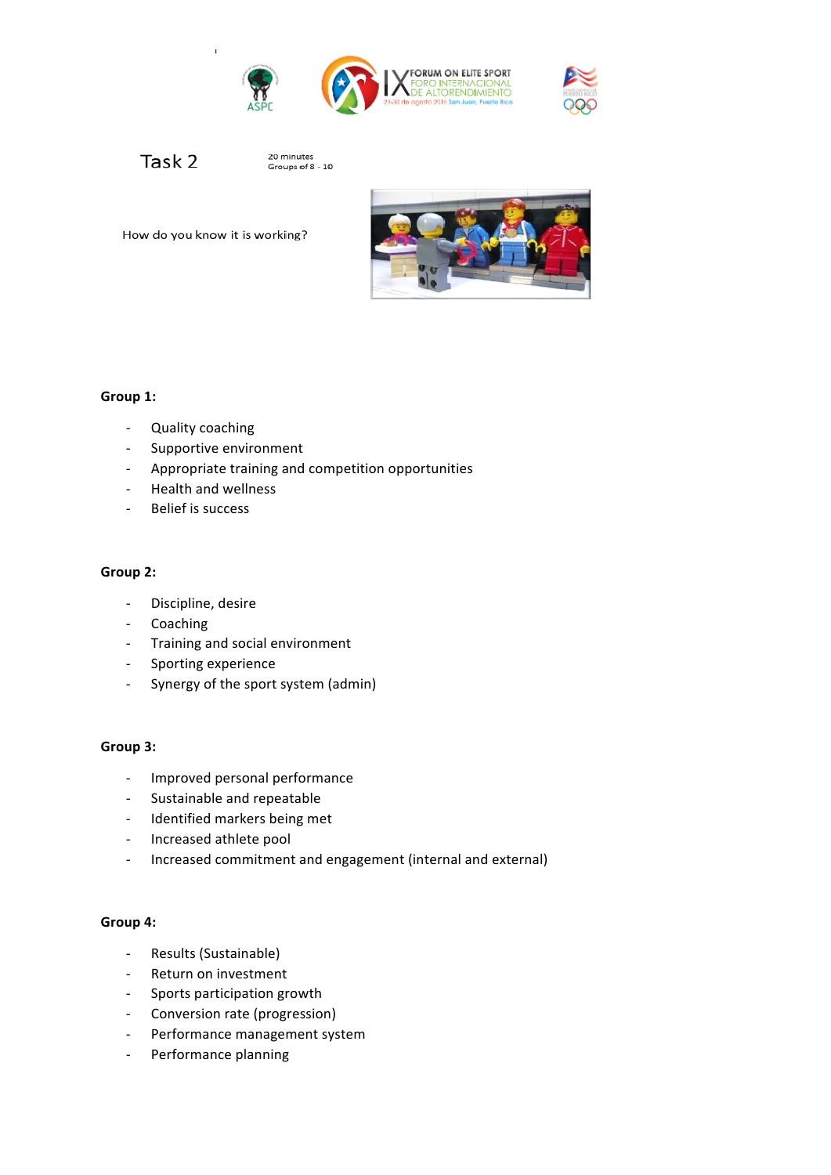



Task 2

20 minutes<br>Groups of 8 - 10

# Group 1:

- Quality coaching
- Supportive environment

How do you know it is working?

- Appropriate training and competition opportunities
- Health and wellness
- Belief is success

### **Group 2:**

- Discipline, desire
- Coaching
- Training and social environment
- Sporting experience
- Synergy of the sport system (admin)

#### Group 3:

- Improved personal performance
- Sustainable and repeatable
- Identified markers being met
- Increased athlete pool
- Increased commitment and engagement (internal and external)

#### **Group 4:**

- Results (Sustainable)
- Return on investment
- Sports participation growth
- Conversion rate (progression)
- Performance management system
- Performance planning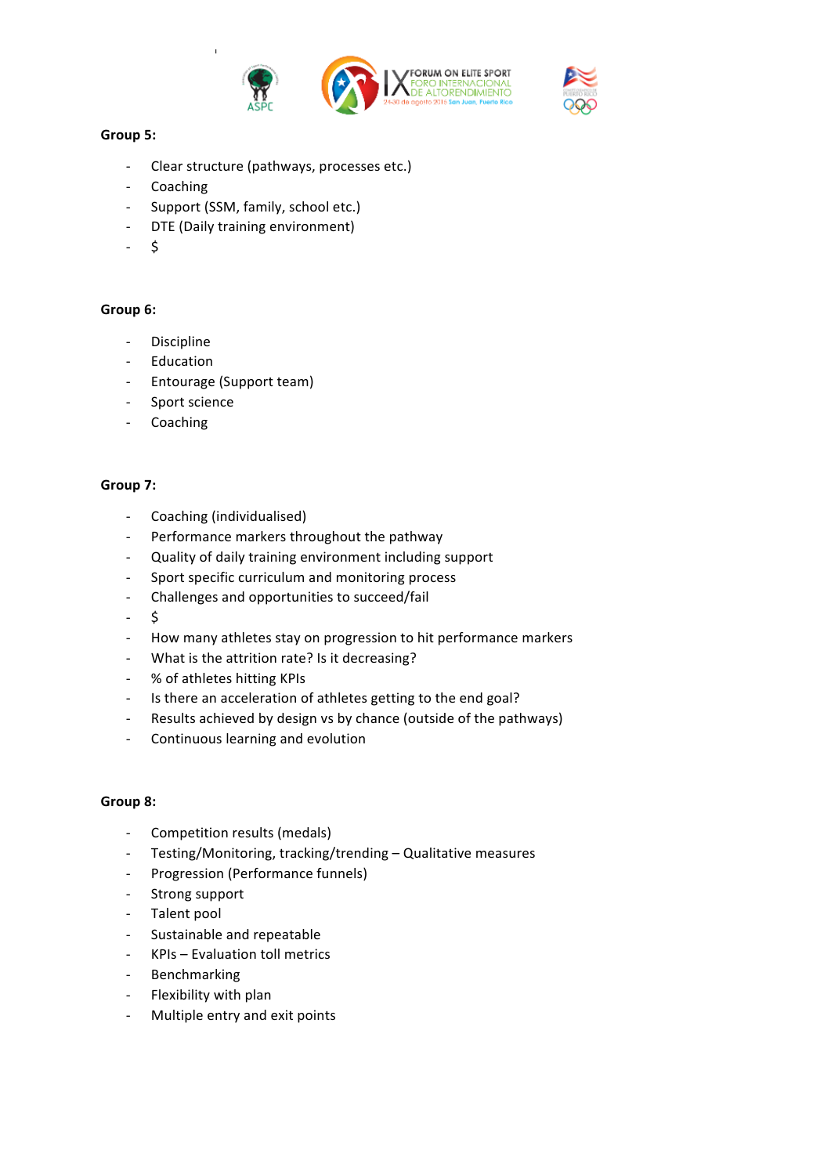



# Group 5:

- Clear structure (pathways, processes etc.)
- **Coaching**
- Support (SSM, family, school etc.)
- DTE (Daily training environment)
- $\mathsf{\dot{S}}$

# Group 6:

- Discipline
- **Education**
- Entourage (Support team)
- Sport science
- **Coaching**

#### Group 7:

- Coaching (individualised)
- Performance markers throughout the pathway
- Quality of daily training environment including support
- Sport specific curriculum and monitoring process
- Challenges and opportunities to succeed/fail
- $\zeta$
- How many athletes stay on progression to hit performance markers
- What is the attrition rate? Is it decreasing?
- % of athletes hitting KPIs
- Is there an acceleration of athletes getting to the end goal?
- Results achieved by design vs by chance (outside of the pathways)
- Continuous learning and evolution

#### **Group 8:**

- Competition results (medals)
- Testing/Monitoring, tracking/trending Qualitative measures
- Progression (Performance funnels)
- Strong support
- Talent pool
- Sustainable and repeatable
- KPIs Evaluation toll metrics
- Benchmarking
- Flexibility with plan
- Multiple entry and exit points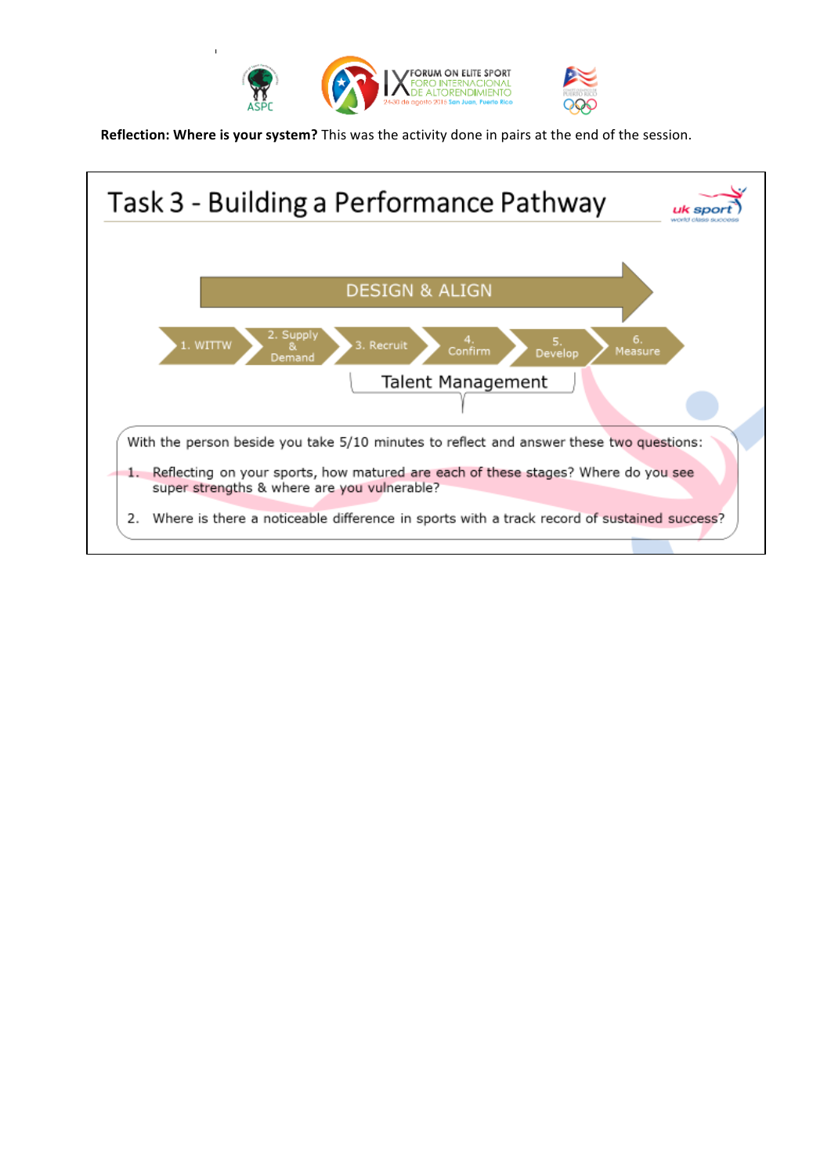

**Reflection: Where is your system?** This was the activity done in pairs at the end of the session.

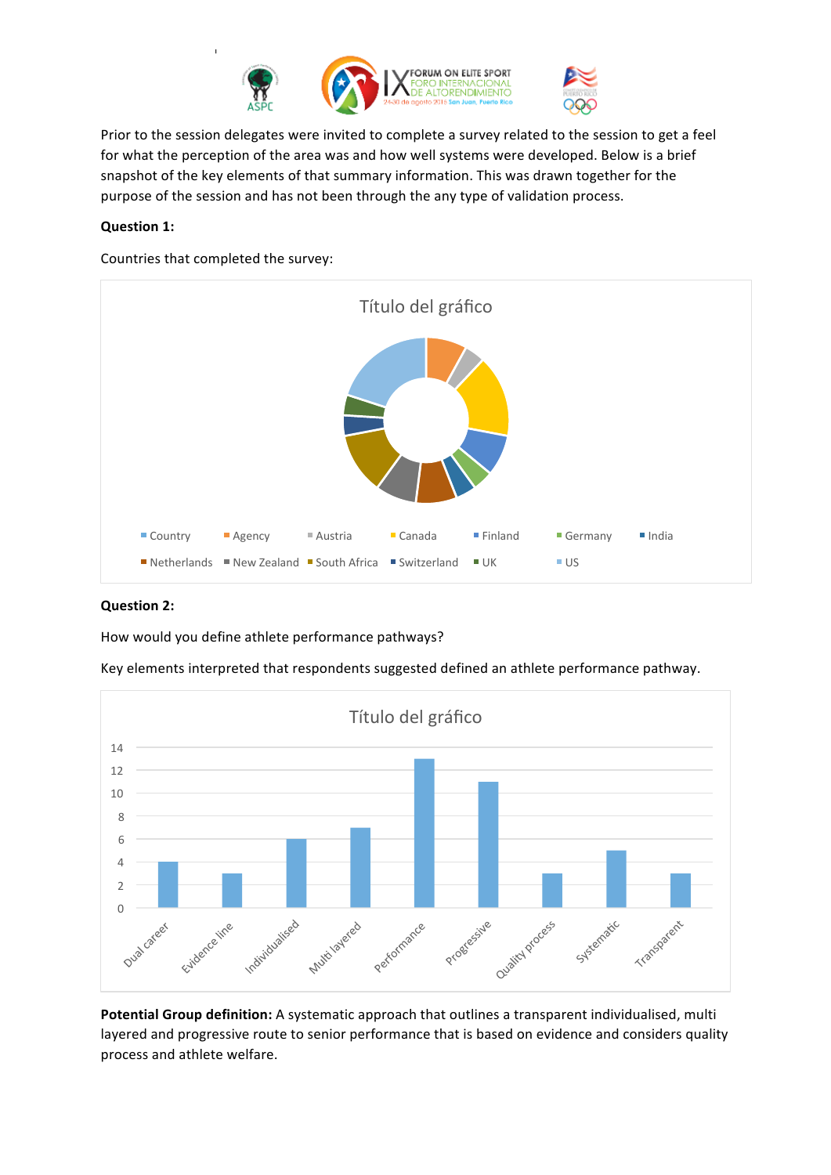

Prior to the session delegates were invited to complete a survey related to the session to get a feel for what the perception of the area was and how well systems were developed. Below is a brief snapshot of the key elements of that summary information. This was drawn together for the purpose of the session and has not been through the any type of validation process.

# **Question 1:**

Countries that completed the survey:



#### **Question 2:**

How would you define athlete performance pathways?

Key elements interpreted that respondents suggested defined an athlete performance pathway.



Potential Group definition: A systematic approach that outlines a transparent individualised, multi layered and progressive route to senior performance that is based on evidence and considers quality process and athlete welfare.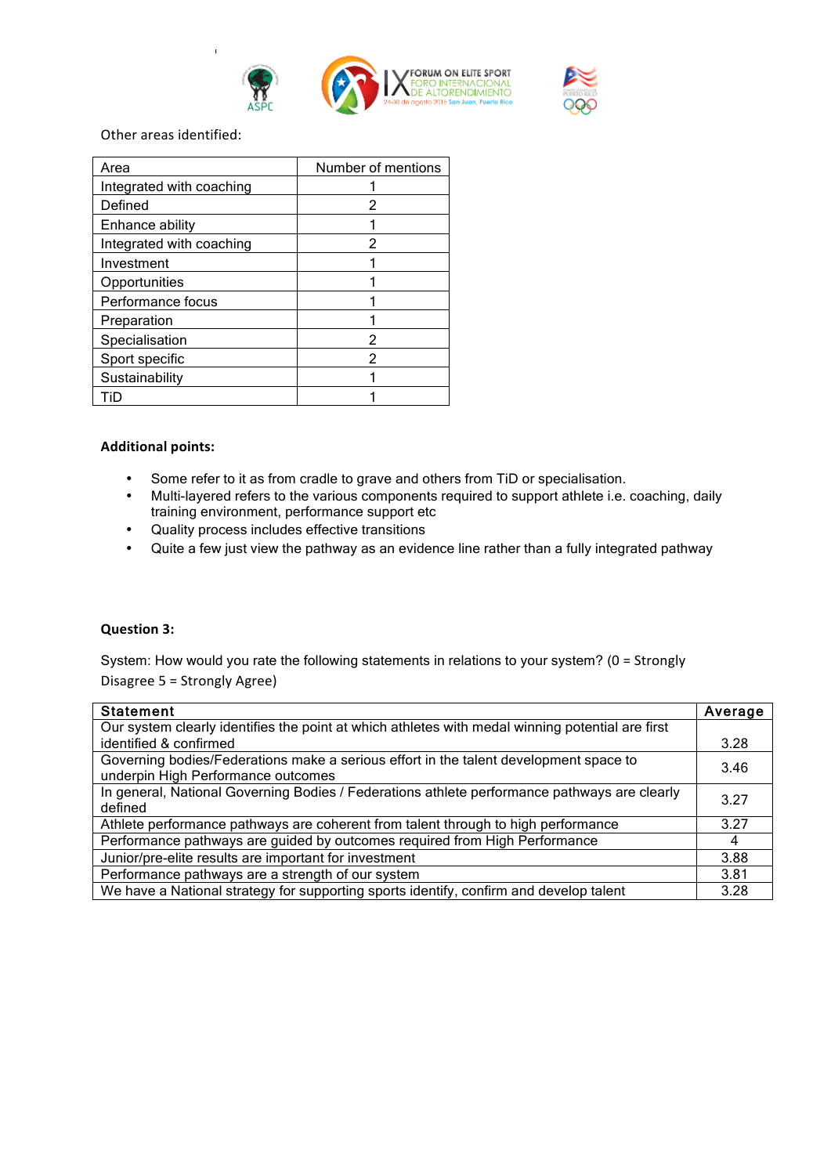



Other areas identified:

| Area                     | Number of mentions |
|--------------------------|--------------------|
| Integrated with coaching |                    |
| Defined                  |                    |
| Enhance ability          |                    |
| Integrated with coaching | 2                  |
| Investment               |                    |
| Opportunities            |                    |
| Performance focus        |                    |
| Preparation              |                    |
| Specialisation           | 2                  |
| Sport specific           | 2                  |
| Sustainability           |                    |
| ïD                       |                    |

#### **Additional points:**

- Some refer to it as from cradle to grave and others from TiD or specialisation.<br>• Multi-lavered refers to the various components required to support athlete i.e.
- Multi-layered refers to the various components required to support athlete i.e. coaching, daily training environment, performance support etc
- Quality process includes effective transitions
- Quite a few just view the pathway as an evidence line rather than a fully integrated pathway

#### **Question 3:**

System: How would you rate the following statements in relations to your system? ( $0 =$  Strongly Disagree 5 = Strongly Agree)

| <b>Statement</b>                                                                                 | Average |
|--------------------------------------------------------------------------------------------------|---------|
| Our system clearly identifies the point at which athletes with medal winning potential are first |         |
| identified & confirmed                                                                           | 3.28    |
| Governing bodies/Federations make a serious effort in the talent development space to            | 3.46    |
| underpin High Performance outcomes                                                               |         |
| In general, National Governing Bodies / Federations athlete performance pathways are clearly     |         |
| defined                                                                                          | 3.27    |
| Athlete performance pathways are coherent from talent through to high performance                |         |
| Performance pathways are guided by outcomes required from High Performance                       |         |
| Junior/pre-elite results are important for investment                                            |         |
| Performance pathways are a strength of our system                                                |         |
| We have a National strategy for supporting sports identify, confirm and develop talent           |         |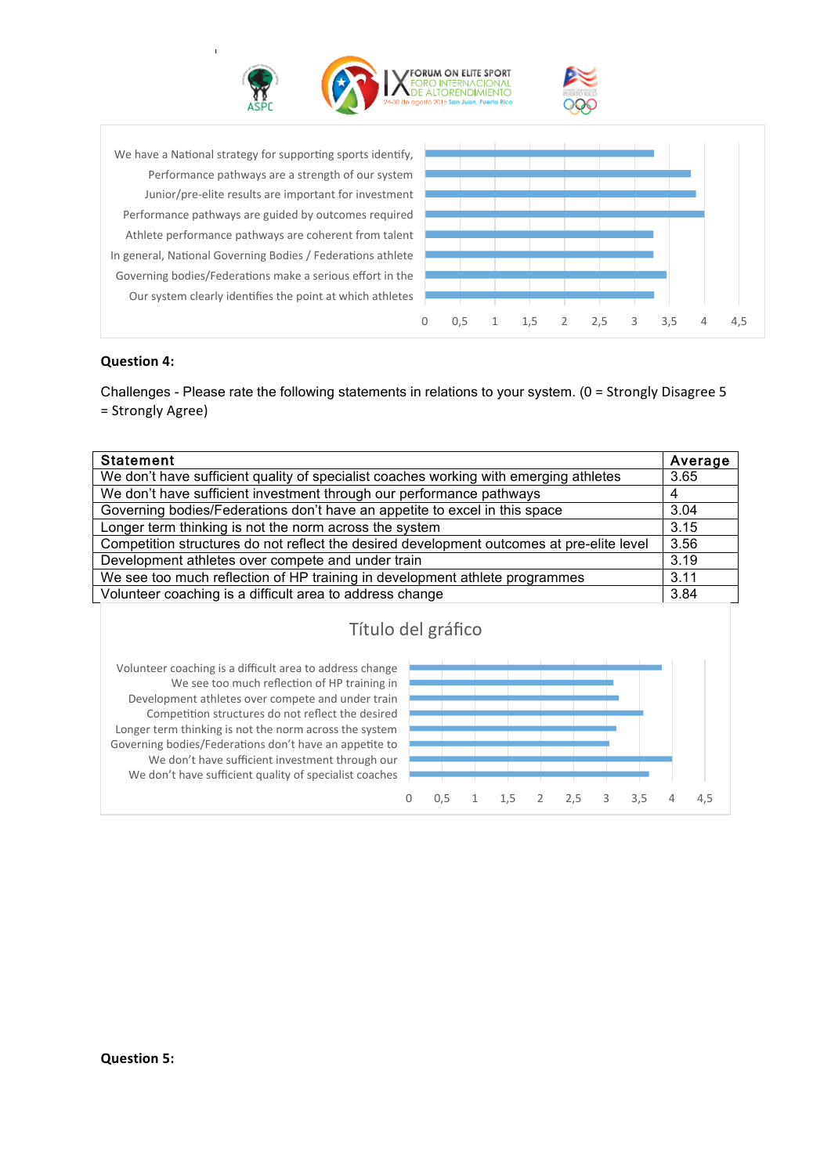



Our system clearly identifies the point at which athletes Governing bodies/Federations make a serious effort in the In general, National Governing Bodies / Federations athlete Athlete performance pathways are coherent from talent Performance pathways are guided by outcomes required Junior/pre-elite results are important for investment Performance pathways are a strength of our system We have a National strategy for supporting sports identify,



## **Question 4:**

Challenges - Please rate the following statements in relations to your system. ( $0 =$  Strongly Disagree 5 = Strongly Agree) 

| <b>Statement</b>                                                                          |  |
|-------------------------------------------------------------------------------------------|--|
| We don't have sufficient quality of specialist coaches working with emerging athletes     |  |
| We don't have sufficient investment through our performance pathways                      |  |
| Governing bodies/Federations don't have an appetite to excel in this space                |  |
| Longer term thinking is not the norm across the system                                    |  |
| Competition structures do not reflect the desired development outcomes at pre-elite level |  |
| Development athletes over compete and under train                                         |  |
| We see too much reflection of HP training in development athlete programmes               |  |
| Volunteer coaching is a difficult area to address change                                  |  |
| Título del gráfico                                                                        |  |

We don't have sufficient quality of specialist coaches We don't have sufficient investment through our Governing bodies/Federations don't have an appetite to Longer term thinking is not the norm across the system Competition structures do not reflect the desired Development athletes over compete and under train We see too much reflection of HP training in Volunteer coaching is a difficult area to address change

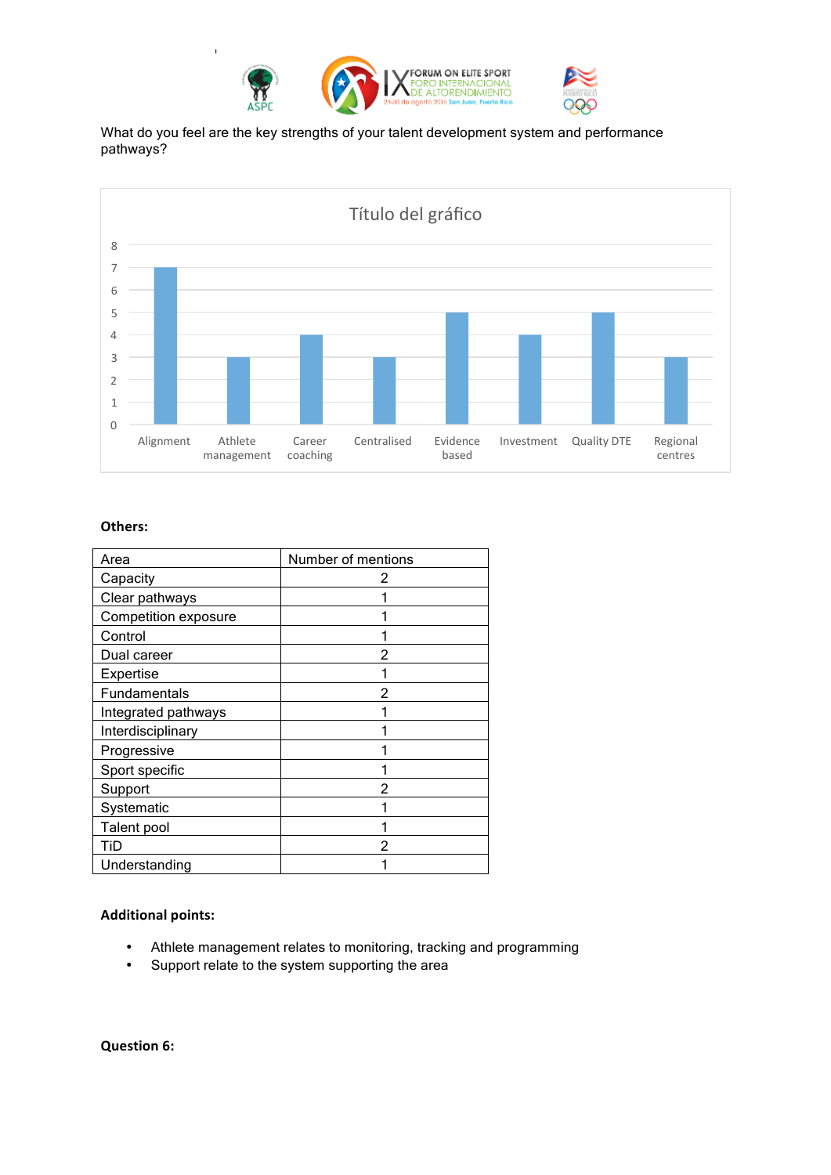

What do you feel are the key strengths of your talent development system and performance pathways?



## **Others:**

| Area                 | Number of mentions |
|----------------------|--------------------|
| Capacity             | 2                  |
| Clear pathways       |                    |
| Competition exposure |                    |
| Control              |                    |
| Dual career          | 2                  |
| Expertise            |                    |
| <b>Fundamentals</b>  | 2                  |
| Integrated pathways  |                    |
| Interdisciplinary    |                    |
| Progressive          |                    |
| Sport specific       |                    |
| Support              |                    |
| Systematic           |                    |
| Talent pool          |                    |
| TiD                  | 2                  |
| Understanding        |                    |

# **Additional points:**

- Athlete management relates to monitoring, tracking and programming
- Support relate to the system supporting the area

**Question 6:**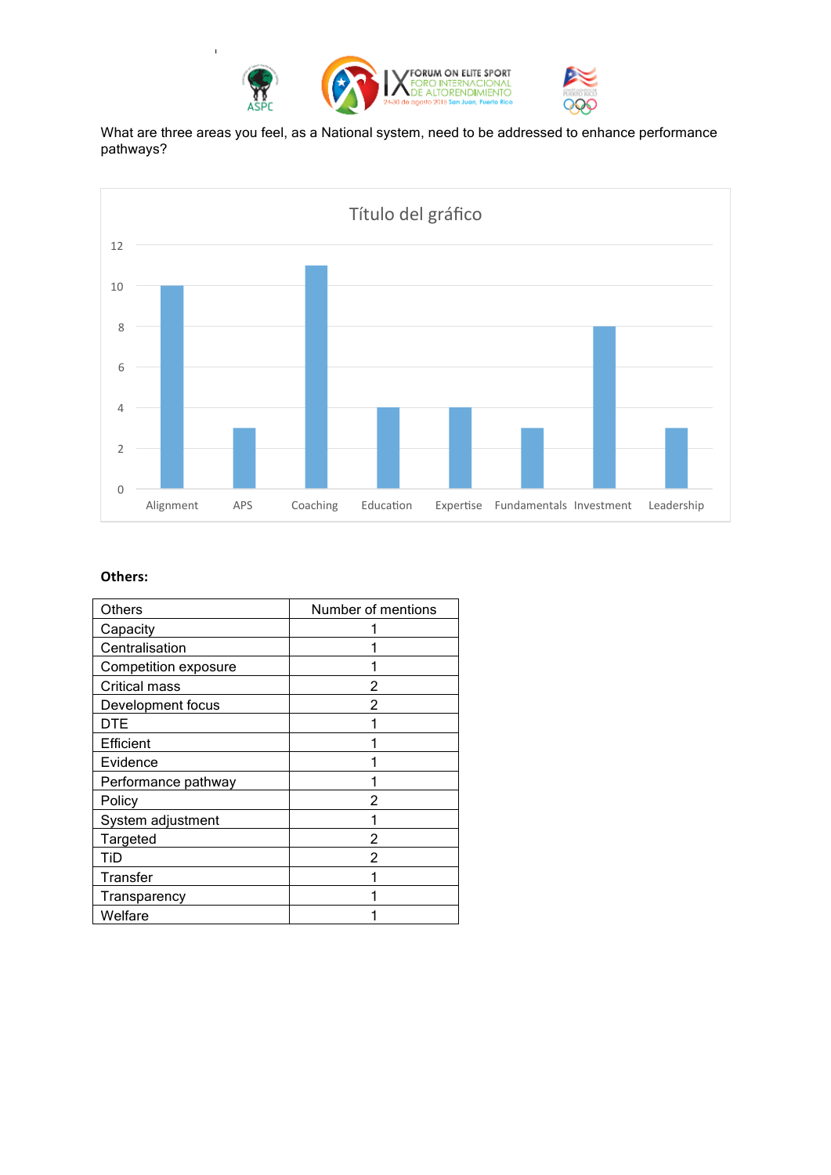

What are three areas you feel, as a National system, need to be addressed to enhance performance pathways?



## **Others:**

| Others               | Number of mentions |
|----------------------|--------------------|
| Capacity             |                    |
| Centralisation       |                    |
| Competition exposure |                    |
| Critical mass        | 2                  |
| Development focus    | 2                  |
| DTE                  |                    |
| Efficient            |                    |
| Evidence             |                    |
| Performance pathway  |                    |
| Policy               | 2                  |
| System adjustment    |                    |
| Targeted             |                    |
| TiD                  |                    |
| Transfer             |                    |
| Transparency         |                    |
| Welfare              |                    |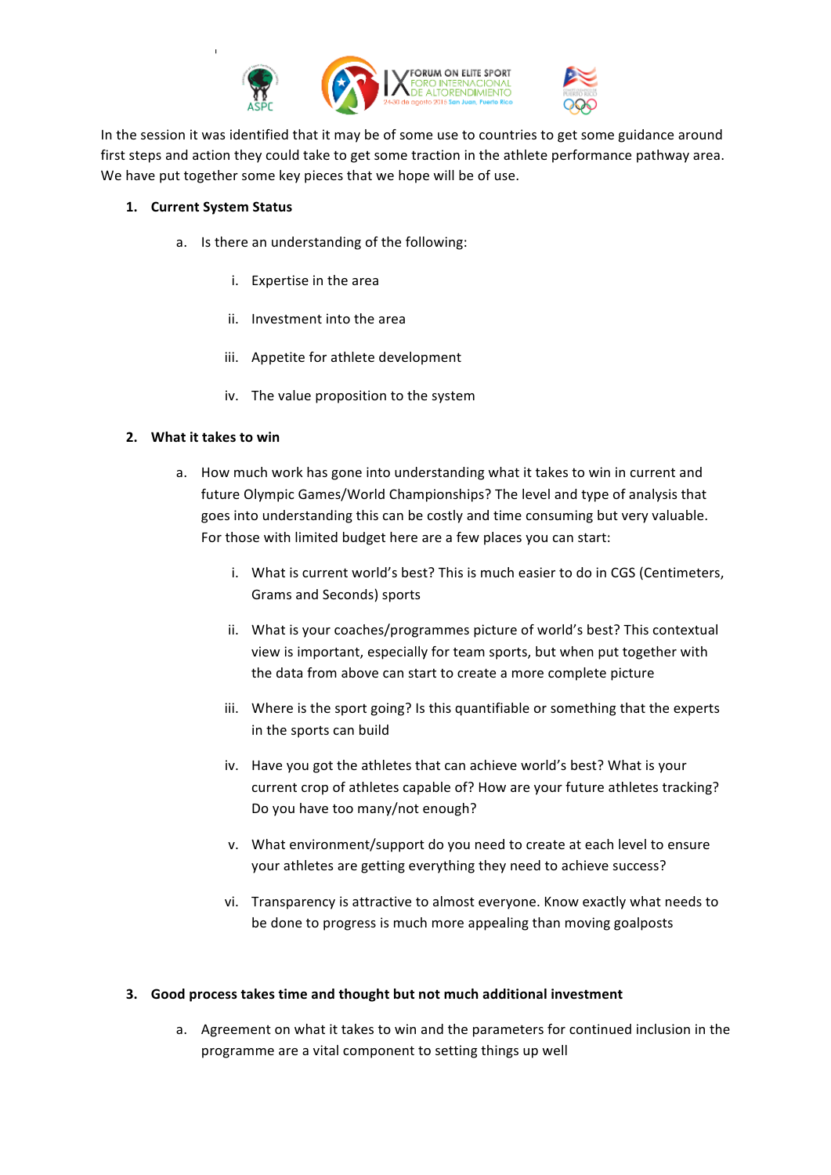

In the session it was identified that it may be of some use to countries to get some guidance around first steps and action they could take to get some traction in the athlete performance pathway area. We have put together some key pieces that we hope will be of use.

#### 1. **Current System Status**

- a. Is there an understanding of the following:
	- i. Expertise in the area
	- ii. Investment into the area
	- iii. Appetite for athlete development
	- iv. The value proposition to the system

## **2.** What it takes to win

- a. How much work has gone into understanding what it takes to win in current and future Olympic Games/World Championships? The level and type of analysis that goes into understanding this can be costly and time consuming but very valuable. For those with limited budget here are a few places you can start:
	- i. What is current world's best? This is much easier to do in CGS (Centimeters, Grams and Seconds) sports
	- ii. What is your coaches/programmes picture of world's best? This contextual view is important, especially for team sports, but when put together with the data from above can start to create a more complete picture
	- iii. Where is the sport going? Is this quantifiable or something that the experts in the sports can build
	- iv. Have you got the athletes that can achieve world's best? What is your current crop of athletes capable of? How are your future athletes tracking? Do you have too many/not enough?
	- v. What environment/support do you need to create at each level to ensure your athletes are getting everything they need to achieve success?
	- vi. Transparency is attractive to almost everyone. Know exactly what needs to be done to progress is much more appealing than moving goalposts

#### **3.** Good process takes time and thought but not much additional investment

a. Agreement on what it takes to win and the parameters for continued inclusion in the programme are a vital component to setting things up well